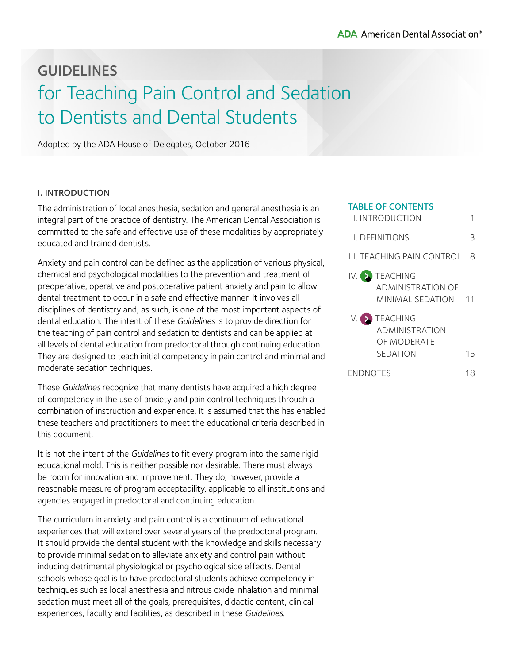# GUIDELINES for Teaching Pain Control and Sedation to Dentists and Dental Students

Adopted by the ADA House of Delegates, October 2016

#### I. INTRODUCTION

The administration of local anesthesia, sedation and general anesthesia is an integral part of the practice of dentistry. The American Dental Association is committed to the safe and effective use of these modalities by appropriately educated and trained dentists.

Anxiety and pain control can be defined as the application of various physical, chemical and psychological modalities to the prevention and treatment of preoperative, operative and postoperative patient anxiety and pain to allow dental treatment to occur in a safe and effective manner. It involves all disciplines of dentistry and, as such, is one of the most important aspects of dental education. The intent of these Guidelines is to provide direction for the teaching of pain control and sedation to dentists and can be applied at all levels of dental education from predoctoral through continuing education. They are designed to teach initial competency in pain control and minimal and moderate sedation techniques.

These Guidelines recognize that many dentists have acquired a high degree of competency in the use of anxiety and pain control techniques through a combination of instruction and experience. It is assumed that this has enabled these teachers and practitioners to meet the educational criteria described in this document.

It is not the intent of the Guidelines to fit every program into the same rigid educational mold. This is neither possible nor desirable. There must always be room for innovation and improvement. They do, however, provide a reasonable measure of program acceptability, applicable to all institutions and agencies engaged in predoctoral and continuing education.

The curriculum in anxiety and pain control is a continuum of educational experiences that will extend over several years of the predoctoral program. It should provide the dental student with the knowledge and skills necessary to provide minimal sedation to alleviate anxiety and control pain without inducing detrimental physiological or psychological side effects. Dental schools whose goal is to have predoctoral students achieve competency in techniques such as local anesthesia and nitrous oxide inhalation and minimal sedation must meet all of the goals, prerequisites, didactic content, clinical experiences, faculty and facilities, as described in these Guidelines.

## TABLE OF CONTENTS I. INTRODUCTION 1 II. DEFINITIONS 3 III. TEACHING PAIN CONTROL 8 IV. TEACHING ADMINISTRATION OF MINIMAL SEDATION 11 V. EXTEACHING ADMINISTRATION OF MODERATE SEDATION 15 ENDNOTES 18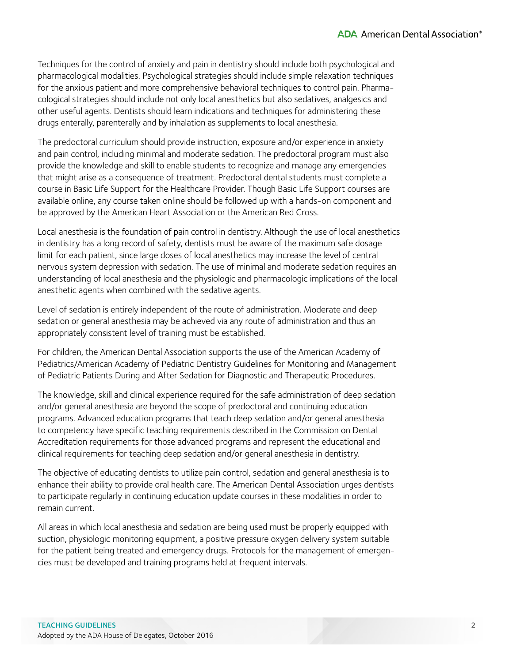Techniques for the control of anxiety and pain in dentistry should include both psychological and pharmacological modalities. Psychological strategies should include simple relaxation techniques for the anxious patient and more comprehensive behavioral techniques to control pain. Pharmacological strategies should include not only local anesthetics but also sedatives, analgesics and other useful agents. Dentists should learn indications and techniques for administering these drugs enterally, parenterally and by inhalation as supplements to local anesthesia.

The predoctoral curriculum should provide instruction, exposure and/or experience in anxiety and pain control, including minimal and moderate sedation. The predoctoral program must also provide the knowledge and skill to enable students to recognize and manage any emergencies that might arise as a consequence of treatment. Predoctoral dental students must complete a course in Basic Life Support for the Healthcare Provider. Though Basic Life Support courses are available online, any course taken online should be followed up with a hands-on component and be approved by the American Heart Association or the American Red Cross.

Local anesthesia is the foundation of pain control in dentistry. Although the use of local anesthetics in dentistry has a long record of safety, dentists must be aware of the maximum safe dosage limit for each patient, since large doses of local anesthetics may increase the level of central nervous system depression with sedation. The use of minimal and moderate sedation requires an understanding of local anesthesia and the physiologic and pharmacologic implications of the local anesthetic agents when combined with the sedative agents.

Level of sedation is entirely independent of the route of administration. Moderate and deep sedation or general anesthesia may be achieved via any route of administration and thus an appropriately consistent level of training must be established.

For children, the American Dental Association supports the use of the American Academy of Pediatrics/American Academy of Pediatric Dentistry Guidelines for Monitoring and Management of Pediatric Patients During and After Sedation for Diagnostic and Therapeutic Procedures.

The knowledge, skill and clinical experience required for the safe administration of deep sedation and/or general anesthesia are beyond the scope of predoctoral and continuing education programs. Advanced education programs that teach deep sedation and/or general anesthesia to competency have specific teaching requirements described in the Commission on Dental Accreditation requirements for those advanced programs and represent the educational and clinical requirements for teaching deep sedation and/or general anesthesia in dentistry.

The objective of educating dentists to utilize pain control, sedation and general anesthesia is to enhance their ability to provide oral health care. The American Dental Association urges dentists to participate regularly in continuing education update courses in these modalities in order to remain current.

All areas in which local anesthesia and sedation are being used must be properly equipped with suction, physiologic monitoring equipment, a positive pressure oxygen delivery system suitable for the patient being treated and emergency drugs. Protocols for the management of emergencies must be developed and training programs held at frequent intervals.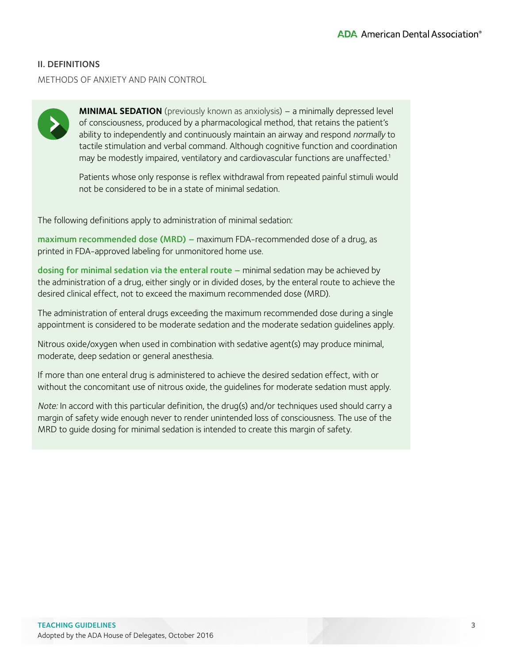#### II. DEFINITIONS

METHODS OF ANXIETY AND PAIN CONTROL



**MINIMAL SEDATION** (previously known as anxiolysis) – a minimally depressed level of consciousness, produced by a pharmacological method, that retains the patient's ability to independently and continuously maintain an airway and respond normally to tactile stimulation and verbal command. Although cognitive function and coordination may be modestly impaired, ventilatory and cardiovascular functions are unaffected.<sup>1</sup>

Patients whose only response is reflex withdrawal from repeated painful stimuli would not be considered to be in a state of minimal sedation.

The following definitions apply to administration of minimal sedation:

maximum recommended dose (MRD) – maximum FDA-recommended dose of a drug, as printed in FDA-approved labeling for unmonitored home use.

dosing for minimal sedation via the enteral route – minimal sedation may be achieved by the administration of a drug, either singly or in divided doses, by the enteral route to achieve the desired clinical effect, not to exceed the maximum recommended dose (MRD).

The administration of enteral drugs exceeding the maximum recommended dose during a single appointment is considered to be moderate sedation and the moderate sedation guidelines apply.

Nitrous oxide/oxygen when used in combination with sedative agent(s) may produce minimal, moderate, deep sedation or general anesthesia.

If more than one enteral drug is administered to achieve the desired sedation effect, with or without the concomitant use of nitrous oxide, the guidelines for moderate sedation must apply.

Note: In accord with this particular definition, the drug(s) and/or techniques used should carry a margin of safety wide enough never to render unintended loss of consciousness. The use of the MRD to guide dosing for minimal sedation is intended to create this margin of safety.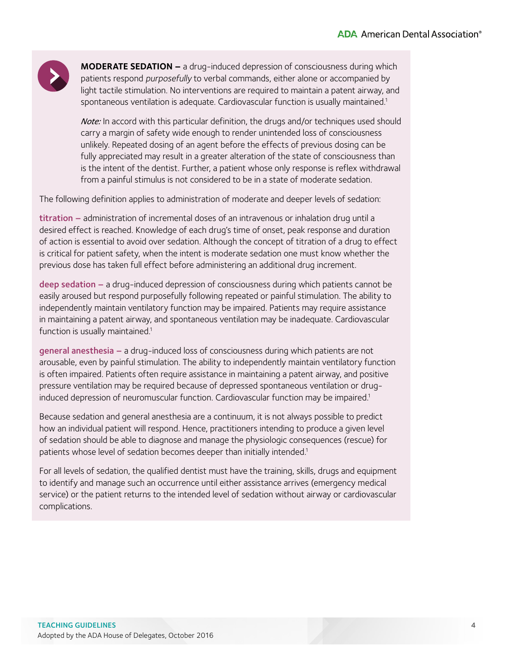

**MODERATE SEDATION –** a drug-induced depression of consciousness during which patients respond purposefully to verbal commands, either alone or accompanied by light tactile stimulation. No interventions are required to maintain a patent airway, and spontaneous ventilation is adequate. Cardiovascular function is usually maintained.<sup>1</sup>

*Note:* In accord with this particular definition, the drugs and/or techniques used should carry a margin of safety wide enough to render unintended loss of consciousness unlikely. Repeated dosing of an agent before the effects of previous dosing can be fully appreciated may result in a greater alteration of the state of consciousness than is the intent of the dentist. Further, a patient whose only response is reflex withdrawal from a painful stimulus is not considered to be in a state of moderate sedation.

The following definition applies to administration of moderate and deeper levels of sedation:

titration – administration of incremental doses of an intravenous or inhalation drug until a desired effect is reached. Knowledge of each drug's time of onset, peak response and duration of action is essential to avoid over sedation. Although the concept of titration of a drug to effect is critical for patient safety, when the intent is moderate sedation one must know whether the previous dose has taken full effect before administering an additional drug increment.

deep sedation – a drug-induced depression of consciousness during which patients cannot be easily aroused but respond purposefully following repeated or painful stimulation. The ability to independently maintain ventilatory function may be impaired. Patients may require assistance in maintaining a patent airway, and spontaneous ventilation may be inadequate. Cardiovascular function is usually maintained.<sup>1</sup>

general anesthesia – a drug-induced loss of consciousness during which patients are not arousable, even by painful stimulation. The ability to independently maintain ventilatory function is often impaired. Patients often require assistance in maintaining a patent airway, and positive pressure ventilation may be required because of depressed spontaneous ventilation or druginduced depression of neuromuscular function. Cardiovascular function may be impaired.<sup>1</sup>

Because sedation and general anesthesia are a continuum, it is not always possible to predict how an individual patient will respond. Hence, practitioners intending to produce a given level of sedation should be able to diagnose and manage the physiologic consequences (rescue) for patients whose level of sedation becomes deeper than initially intended.<sup>1</sup>

For all levels of sedation, the qualified dentist must have the training, skills, drugs and equipment to identify and manage such an occurrence until either assistance arrives (emergency medical service) or the patient returns to the intended level of sedation without airway or cardiovascular complications.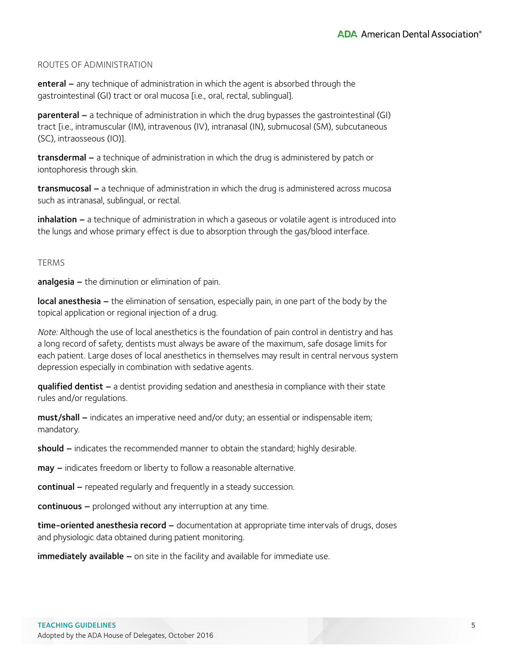#### ROUTES OF ADMINISTRATION

enteral – any technique of administration in which the agent is absorbed through the gastrointestinal (GI) tract or oral mucosa [i.e., oral, rectal, sublingual].

**parenteral** – a technique of administration in which the drug bypasses the gastrointestinal (GI) tract [i.e., intramuscular (IM), intravenous (IV), intranasal (IN), submucosal (SM), subcutaneous (SC), intraosseous (IO)].

transdermal – a technique of administration in which the drug is administered by patch or iontophoresis through skin.

transmucosal - a technique of administration in which the drug is administered across mucosa such as intranasal, sublingual, or rectal.

inhalation – a technique of administration in which a gaseous or volatile agent is introduced into the lungs and whose primary effect is due to absorption through the gas/blood interface.

#### **TERMS**

analgesia – the diminution or elimination of pain.

**local anesthesia** – the elimination of sensation, especially pain, in one part of the body by the topical application or regional injection of a drug.

Note: Although the use of local anesthetics is the foundation of pain control in dentistry and has a long record of safety, dentists must always be aware of the maximum, safe dosage limits for each patient. Large doses of local anesthetics in themselves may result in central nervous system depression especially in combination with sedative agents.

**qualified dentist** – a dentist providing sedation and anesthesia in compliance with their state rules and/or regulations.

must/shall – indicates an imperative need and/or duty; an essential or indispensable item; mandatory.

should – indicates the recommended manner to obtain the standard; highly desirable.

**may** – indicates freedom or liberty to follow a reasonable alternative.

continual – repeated regularly and frequently in a steady succession.

continuous – prolonged without any interruption at any time.

time-oriented anesthesia record – documentation at appropriate time intervals of drugs, doses and physiologic data obtained during patient monitoring.

immediately available – on site in the facility and available for immediate use.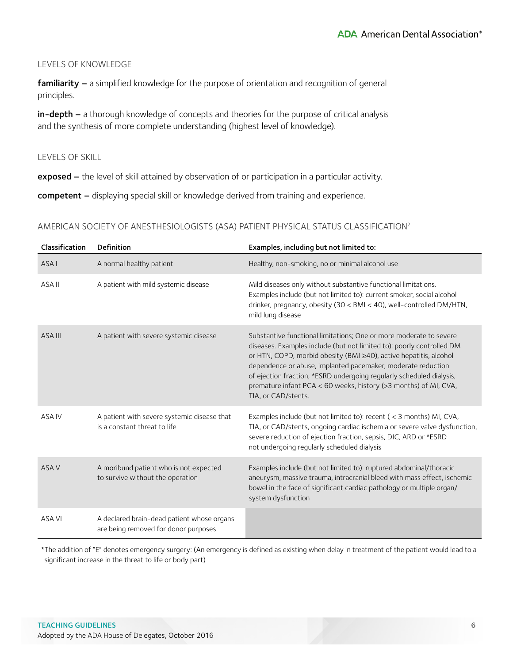#### LEVELS OF KNOWLEDGE

familiarity - a simplified knowledge for the purpose of orientation and recognition of general principles.

in-depth – a thorough knowledge of concepts and theories for the purpose of critical analysis and the synthesis of more complete understanding (highest level of knowledge).

#### LEVELS OF SKILL

exposed – the level of skill attained by observation of or participation in a particular activity.

competent – displaying special skill or knowledge derived from training and experience.

#### AMERICAN SOCIETY OF ANESTHESIOLOGISTS (ASA) PATIENT PHYSICAL STATUS CLASSIFICATION2

| Classification | <b>Definition</b>                                                                  | Examples, including but not limited to:                                                                                                                                                                                                                                                                                                                                                                                                             |
|----------------|------------------------------------------------------------------------------------|-----------------------------------------------------------------------------------------------------------------------------------------------------------------------------------------------------------------------------------------------------------------------------------------------------------------------------------------------------------------------------------------------------------------------------------------------------|
| ASA I          | A normal healthy patient                                                           | Healthy, non-smoking, no or minimal alcohol use                                                                                                                                                                                                                                                                                                                                                                                                     |
| ASA II         | A patient with mild systemic disease                                               | Mild diseases only without substantive functional limitations.<br>Examples include (but not limited to): current smoker, social alcohol<br>drinker, pregnancy, obesity (30 < BMI < 40), well-controlled DM/HTN,<br>mild lung disease                                                                                                                                                                                                                |
| ASA III        | A patient with severe systemic disease                                             | Substantive functional limitations; One or more moderate to severe<br>diseases. Examples include (but not limited to): poorly controlled DM<br>or HTN, COPD, morbid obesity (BMI ≥40), active hepatitis, alcohol<br>dependence or abuse, implanted pacemaker, moderate reduction<br>of ejection fraction, *ESRD undergoing regularly scheduled dialysis,<br>premature infant PCA < 60 weeks, history (>3 months) of MI, CVA,<br>TIA, or CAD/stents. |
| ASA IV         | A patient with severe systemic disease that<br>is a constant threat to life        | Examples include (but not limited to): recent ( < 3 months) MI, CVA,<br>TIA, or CAD/stents, ongoing cardiac ischemia or severe valve dysfunction,<br>severe reduction of ejection fraction, sepsis, DIC, ARD or *ESRD<br>not undergoing regularly scheduled dialysis                                                                                                                                                                                |
| ASA V          | A moribund patient who is not expected<br>to survive without the operation         | Examples include (but not limited to): ruptured abdominal/thoracic<br>aneurysm, massive trauma, intracranial bleed with mass effect, ischemic<br>bowel in the face of significant cardiac pathology or multiple organ/<br>system dysfunction                                                                                                                                                                                                        |
| <b>ASA VI</b>  | A declared brain-dead patient whose organs<br>are being removed for donor purposes |                                                                                                                                                                                                                                                                                                                                                                                                                                                     |

\*The addition of "E" denotes emergency surgery: (An emergency is defined as existing when delay in treatment of the patient would lead to a significant increase in the threat to life or body part)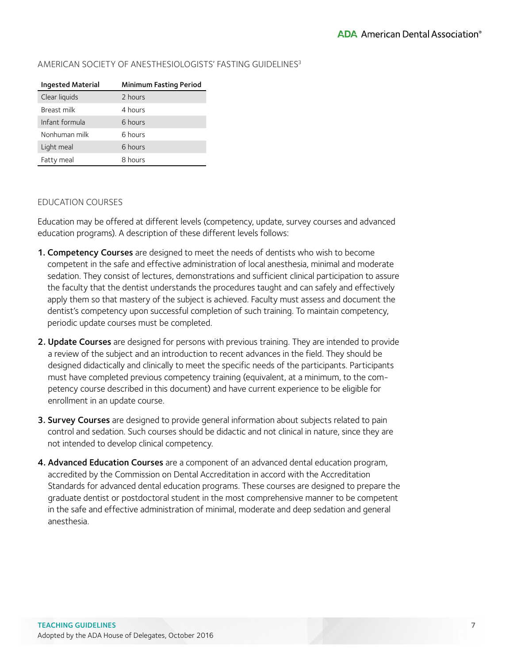#### AMERICAN SOCIETY OF ANESTHESIOLOGISTS' FASTING GUIDELINES<sup>3</sup>

| Clear liquids<br>2 hours<br>Breast milk<br>4 hours<br>Infant formula<br>6 hours |
|---------------------------------------------------------------------------------|
|                                                                                 |
|                                                                                 |
|                                                                                 |
| Nonhuman milk<br>6 hours                                                        |
| Light meal<br>6 hours                                                           |
| 8 hours<br>Fatty meal                                                           |

#### EDUCATION COURSES

Education may be offered at different levels (competency, update, survey courses and advanced education programs). A description of these different levels follows:

- **1. Competency Courses** are designed to meet the needs of dentists who wish to become competent in the safe and effective administration of local anesthesia, minimal and moderate sedation. They consist of lectures, demonstrations and sufficient clinical participation to assure the faculty that the dentist understands the procedures taught and can safely and effectively apply them so that mastery of the subject is achieved. Faculty must assess and document the dentist's competency upon successful completion of such training. To maintain competency, periodic update courses must be completed.
- 2. Update Courses are designed for persons with previous training. They are intended to provide a review of the subject and an introduction to recent advances in the field. They should be designed didactically and clinically to meet the specific needs of the participants. Participants must have completed previous competency training (equivalent, at a minimum, to the competency course described in this document) and have current experience to be eligible for enrollment in an update course.
- **3. Survey Courses** are designed to provide general information about subjects related to pain control and sedation. Such courses should be didactic and not clinical in nature, since they are not intended to develop clinical competency.
- 4. Advanced Education Courses are a component of an advanced dental education program, accredited by the Commission on Dental Accreditation in accord with the Accreditation Standards for advanced dental education programs. These courses are designed to prepare the graduate dentist or postdoctoral student in the most comprehensive manner to be competent in the safe and effective administration of minimal, moderate and deep sedation and general anesthesia.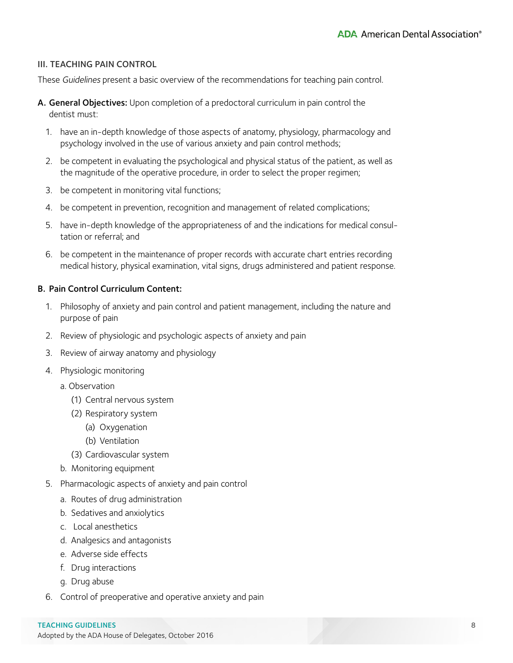#### III. TEACHING PAIN CONTROL

These Guidelines present a basic overview of the recommendations for teaching pain control.

- A. General Objectives: Upon completion of a predoctoral curriculum in pain control the dentist must:
	- 1. have an in-depth knowledge of those aspects of anatomy, physiology, pharmacology and psychology involved in the use of various anxiety and pain control methods;
	- 2. be competent in evaluating the psychological and physical status of the patient, as well as the magnitude of the operative procedure, in order to select the proper regimen;
	- 3. be competent in monitoring vital functions;
	- 4. be competent in prevention, recognition and management of related complications;
	- 5. have in-depth knowledge of the appropriateness of and the indications for medical consultation or referral; and
	- 6. be competent in the maintenance of proper records with accurate chart entries recording medical history, physical examination, vital signs, drugs administered and patient response.

#### B. Pain Control Curriculum Content:

- 1. Philosophy of anxiety and pain control and patient management, including the nature and purpose of pain
- 2. Review of physiologic and psychologic aspects of anxiety and pain
- 3. Review of airway anatomy and physiology
- 4. Physiologic monitoring
	- a. Observation
		- (1) Central nervous system
		- (2) Respiratory system
			- (a) Oxygenation
			- (b) Ventilation
		- (3) Cardiovascular system
	- b. Monitoring equipment
- 5. Pharmacologic aspects of anxiety and pain control
	- a. Routes of drug administration
	- b. Sedatives and anxiolytics
	- c. Local anesthetics
	- d. Analgesics and antagonists
	- e. Adverse side effects
	- f. Drug interactions
	- g. Drug abuse
- 6. Control of preoperative and operative anxiety and pain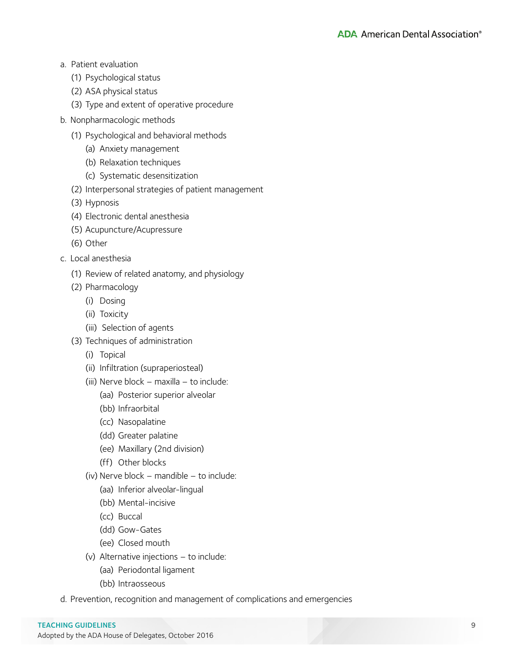- a. Patient evaluation
	- (1) Psychological status
	- (2) ASA physical status
	- (3) Type and extent of operative procedure
- b. Nonpharmacologic methods
	- (1) Psychological and behavioral methods
		- (a) Anxiety management
		- (b) Relaxation techniques
		- (c) Systematic desensitization
	- (2) Interpersonal strategies of patient management
	- (3) Hypnosis
	- (4) Electronic dental anesthesia
	- (5) Acupuncture/Acupressure
	- (6) Other
- c. Local anesthesia
	- (1) Review of related anatomy, and physiology
	- (2) Pharmacology
		- (i) Dosing
		- (ii) Toxicity
		- (iii) Selection of agents
	- (3) Techniques of administration
		- (i) Topical
		- (ii) Infiltration (supraperiosteal)
		- (iii) Nerve block maxilla to include:
			- (aa) Posterior superior alveolar
			- (bb) Infraorbital
			- (cc) Nasopalatine
			- (dd) Greater palatine
			- (ee) Maxillary (2nd division)
			- (ff) Other blocks
		- (iv) Nerve block mandible to include:
			- (aa) Inferior alveolar-lingual
			- (bb) Mental-incisive
			- (cc) Buccal
			- (dd) Gow-Gates
			- (ee) Closed mouth
		- (v) Alternative injections to include:
			- (aa) Periodontal ligament
			- (bb) Intraosseous
- d. Prevention, recognition and management of complications and emergencies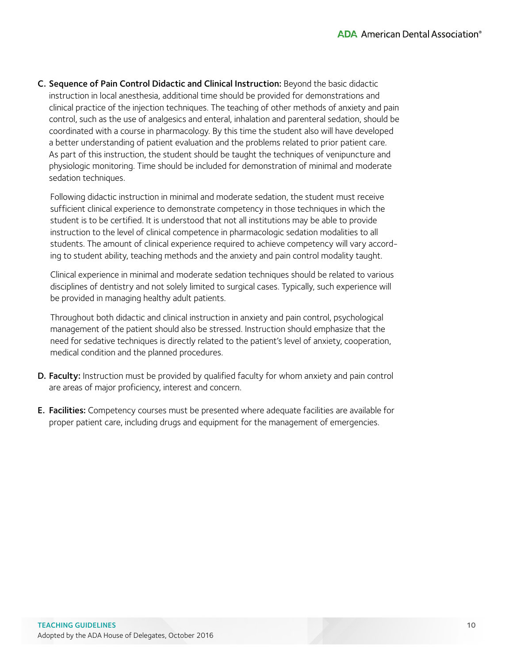C. Sequence of Pain Control Didactic and Clinical Instruction: Beyond the basic didactic instruction in local anesthesia, additional time should be provided for demonstrations and clinical practice of the injection techniques. The teaching of other methods of anxiety and pain control, such as the use of analgesics and enteral, inhalation and parenteral sedation, should be coordinated with a course in pharmacology. By this time the student also will have developed a better understanding of patient evaluation and the problems related to prior patient care. As part of this instruction, the student should be taught the techniques of venipuncture and physiologic monitoring. Time should be included for demonstration of minimal and moderate sedation techniques.

 Following didactic instruction in minimal and moderate sedation, the student must receive sufficient clinical experience to demonstrate competency in those techniques in which the student is to be certified. It is understood that not all institutions may be able to provide instruction to the level of clinical competence in pharmacologic sedation modalities to all students. The amount of clinical experience required to achieve competency will vary according to student ability, teaching methods and the anxiety and pain control modality taught.

 Clinical experience in minimal and moderate sedation techniques should be related to various disciplines of dentistry and not solely limited to surgical cases. Typically, such experience will be provided in managing healthy adult patients.

 Throughout both didactic and clinical instruction in anxiety and pain control, psychological management of the patient should also be stressed. Instruction should emphasize that the need for sedative techniques is directly related to the patient's level of anxiety, cooperation, medical condition and the planned procedures.

- D. Faculty: Instruction must be provided by qualified faculty for whom anxiety and pain control are areas of major proficiency, interest and concern.
- E. Facilities: Competency courses must be presented where adequate facilities are available for proper patient care, including drugs and equipment for the management of emergencies.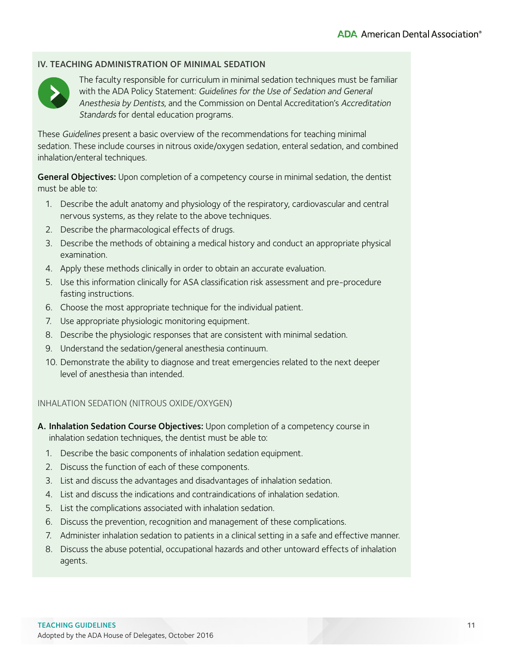#### IV. TEACHING ADMINISTRATION OF MINIMAL SEDATION



The faculty responsible for curriculum in minimal sedation techniques must be familiar with the ADA Policy Statement: Guidelines for the Use of Sedation and General Anesthesia by Dentists, and the Commission on Dental Accreditation's Accreditation Standards for dental education programs.

These Guidelines present a basic overview of the recommendations for teaching minimal sedation. These include courses in nitrous oxide/oxygen sedation, enteral sedation, and combined inhalation/enteral techniques.

General Objectives: Upon completion of a competency course in minimal sedation, the dentist must be able to:

- 1. Describe the adult anatomy and physiology of the respiratory, cardiovascular and central nervous systems, as they relate to the above techniques.
- 2. Describe the pharmacological effects of drugs.
- 3. Describe the methods of obtaining a medical history and conduct an appropriate physical examination.
- 4. Apply these methods clinically in order to obtain an accurate evaluation.
- 5. Use this information clinically for ASA classification risk assessment and pre-procedure fasting instructions.
- 6. Choose the most appropriate technique for the individual patient.
- 7. Use appropriate physiologic monitoring equipment.
- 8. Describe the physiologic responses that are consistent with minimal sedation.
- 9. Understand the sedation/general anesthesia continuum.
- 10. Demonstrate the ability to diagnose and treat emergencies related to the next deeper level of anesthesia than intended.

#### INHALATION SEDATION (NITROUS OXIDE/OXYGEN)

- A. Inhalation Sedation Course Objectives: Upon completion of a competency course in inhalation sedation techniques, the dentist must be able to:
	- 1. Describe the basic components of inhalation sedation equipment.
	- 2. Discuss the function of each of these components.
	- 3. List and discuss the advantages and disadvantages of inhalation sedation.
	- 4. List and discuss the indications and contraindications of inhalation sedation.
	- 5. List the complications associated with inhalation sedation.
	- 6. Discuss the prevention, recognition and management of these complications.
	- 7. Administer inhalation sedation to patients in a clinical setting in a safe and effective manner.
	- 8. Discuss the abuse potential, occupational hazards and other untoward effects of inhalation agents.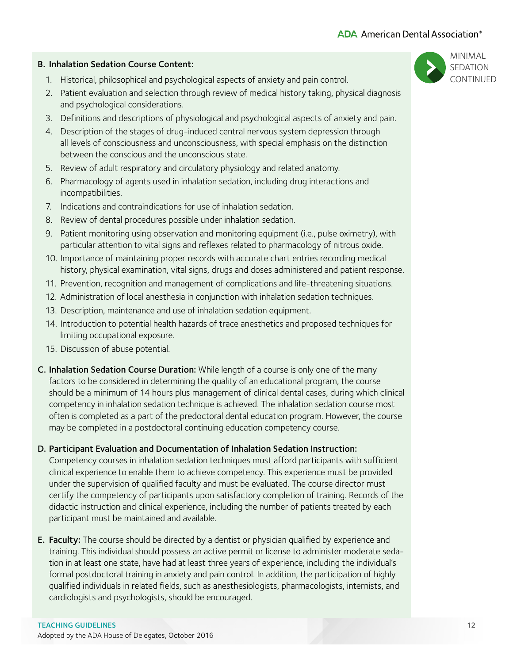## B. Inhalation Sedation Course Content:

- 1. Historical, philosophical and psychological aspects of anxiety and pain control.
- 2. Patient evaluation and selection through review of medical history taking, physical diagnosis and psychological considerations.
- 3. Definitions and descriptions of physiological and psychological aspects of anxiety and pain.
- 4. Description of the stages of drug-induced central nervous system depression through all levels of consciousness and unconsciousness, with special emphasis on the distinction between the conscious and the unconscious state.
- 5. Review of adult respiratory and circulatory physiology and related anatomy.
- 6. Pharmacology of agents used in inhalation sedation, including drug interactions and incompatibilities.
- 7. Indications and contraindications for use of inhalation sedation.
- 8. Review of dental procedures possible under inhalation sedation.
- 9. Patient monitoring using observation and monitoring equipment (i.e., pulse oximetry), with particular attention to vital signs and reflexes related to pharmacology of nitrous oxide.
- 10. Importance of maintaining proper records with accurate chart entries recording medical history, physical examination, vital signs, drugs and doses administered and patient response.
- 11. Prevention, recognition and management of complications and life-threatening situations.
- 12. Administration of local anesthesia in conjunction with inhalation sedation techniques.
- 13. Description, maintenance and use of inhalation sedation equipment.
- 14. Introduction to potential health hazards of trace anesthetics and proposed techniques for limiting occupational exposure.
- 15. Discussion of abuse potential.
- C. Inhalation Sedation Course Duration: While length of a course is only one of the many factors to be considered in determining the quality of an educational program, the course should be a minimum of 14 hours plus management of clinical dental cases, during which clinical competency in inhalation sedation technique is achieved. The inhalation sedation course most often is completed as a part of the predoctoral dental education program. However, the course may be completed in a postdoctoral continuing education competency course.
- D. Participant Evaluation and Documentation of Inhalation Sedation Instruction:

Competency courses in inhalation sedation techniques must afford participants with sufficient clinical experience to enable them to achieve competency. This experience must be provided under the supervision of qualified faculty and must be evaluated. The course director must certify the competency of participants upon satisfactory completion of training. Records of the didactic instruction and clinical experience, including the number of patients treated by each participant must be maintained and available.

**E. Faculty:** The course should be directed by a dentist or physician qualified by experience and training. This individual should possess an active permit or license to administer moderate sedation in at least one state, have had at least three years of experience, including the individual's formal postdoctoral training in anxiety and pain control. In addition, the participation of highly qualified individuals in related fields, such as anesthesiologists, pharmacologists, internists, and cardiologists and psychologists, should be encouraged.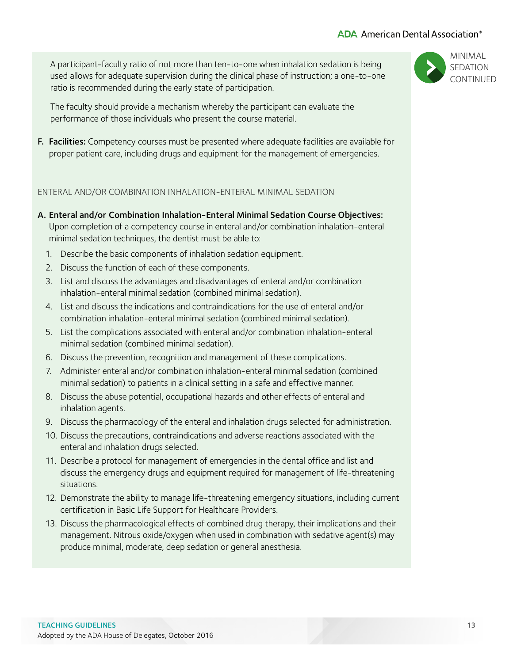## **ADA** American Dental Association<sup>®</sup>

 A participant-faculty ratio of not more than ten-to-one when inhalation sedation is being used allows for adequate supervision during the clinical phase of instruction; a one-to-one ratio is recommended during the early state of participation.

 The faculty should provide a mechanism whereby the participant can evaluate the performance of those individuals who present the course material.

F. Facilities: Competency courses must be presented where adequate facilities are available for proper patient care, including drugs and equipment for the management of emergencies.

### ENTERAL AND/OR COMBINATION INHALATION-ENTERAL MINIMAL SEDATION

- A. Enteral and/or Combination Inhalation-Enteral Minimal Sedation Course Objectives: Upon completion of a competency course in enteral and/or combination inhalation-enteral minimal sedation techniques, the dentist must be able to:
	- 1. Describe the basic components of inhalation sedation equipment.
	- 2. Discuss the function of each of these components.
	- 3. List and discuss the advantages and disadvantages of enteral and/or combination inhalation-enteral minimal sedation (combined minimal sedation).
	- 4. List and discuss the indications and contraindications for the use of enteral and/or combination inhalation-enteral minimal sedation (combined minimal sedation).
	- 5. List the complications associated with enteral and/or combination inhalation-enteral minimal sedation (combined minimal sedation).
	- 6. Discuss the prevention, recognition and management of these complications.
	- 7. Administer enteral and/or combination inhalation-enteral minimal sedation (combined minimal sedation) to patients in a clinical setting in a safe and effective manner.
	- 8. Discuss the abuse potential, occupational hazards and other effects of enteral and inhalation agents.
	- 9. Discuss the pharmacology of the enteral and inhalation drugs selected for administration.
	- 10. Discuss the precautions, contraindications and adverse reactions associated with the enteral and inhalation drugs selected.
	- 11. Describe a protocol for management of emergencies in the dental office and list and discuss the emergency drugs and equipment required for management of life-threatening situations.
	- 12. Demonstrate the ability to manage life-threatening emergency situations, including current certification in Basic Life Support for Healthcare Providers.
	- 13. Discuss the pharmacological effects of combined drug therapy, their implications and their management. Nitrous oxide/oxygen when used in combination with sedative agent(s) may produce minimal, moderate, deep sedation or general anesthesia.

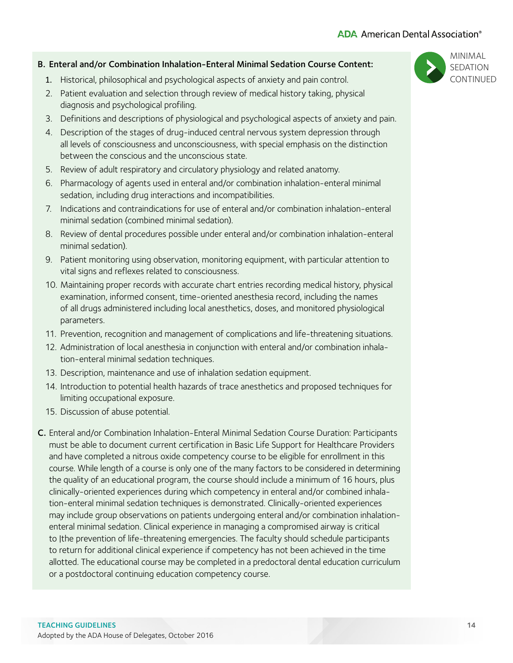## B. Enteral and/or Combination Inhalation-Enteral Minimal Sedation Course Content:

- 1. Historical, philosophical and psychological aspects of anxiety and pain control.
- 2. Patient evaluation and selection through review of medical history taking, physical diagnosis and psychological profiling.
- 3. Definitions and descriptions of physiological and psychological aspects of anxiety and pain.
- 4. Description of the stages of drug-induced central nervous system depression through all levels of consciousness and unconsciousness, with special emphasis on the distinction between the conscious and the unconscious state.
- 5. Review of adult respiratory and circulatory physiology and related anatomy.
- 6. Pharmacology of agents used in enteral and/or combination inhalation-enteral minimal sedation, including drug interactions and incompatibilities.
- 7. Indications and contraindications for use of enteral and/or combination inhalation-enteral minimal sedation (combined minimal sedation).
- 8. Review of dental procedures possible under enteral and/or combination inhalation-enteral minimal sedation).
- 9. Patient monitoring using observation, monitoring equipment, with particular attention to vital signs and reflexes related to consciousness.
- 10. Maintaining proper records with accurate chart entries recording medical history, physical examination, informed consent, time-oriented anesthesia record, including the names of all drugs administered including local anesthetics, doses, and monitored physiological parameters.
- 11. Prevention, recognition and management of complications and life-threatening situations.
- 12. Administration of local anesthesia in conjunction with enteral and/or combination inhalation-enteral minimal sedation techniques.
- 13. Description, maintenance and use of inhalation sedation equipment.
- 14. Introduction to potential health hazards of trace anesthetics and proposed techniques for limiting occupational exposure.
- 15. Discussion of abuse potential.
- C. Enteral and/or Combination Inhalation-Enteral Minimal Sedation Course Duration: Participants must be able to document current certification in Basic Life Support for Healthcare Providers and have completed a nitrous oxide competency course to be eligible for enrollment in this course. While length of a course is only one of the many factors to be considered in determining the quality of an educational program, the course should include a minimum of 16 hours, plus clinically-oriented experiences during which competency in enteral and/or combined inhalation-enteral minimal sedation techniques is demonstrated. Clinically-oriented experiences may include group observations on patients undergoing enteral and/or combination inhalationenteral minimal sedation. Clinical experience in managing a compromised airway is critical to |the prevention of life-threatening emergencies. The faculty should schedule participants to return for additional clinical experience if competency has not been achieved in the time allotted. The educational course may be completed in a predoctoral dental education curriculum or a postdoctoral continuing education competency course.

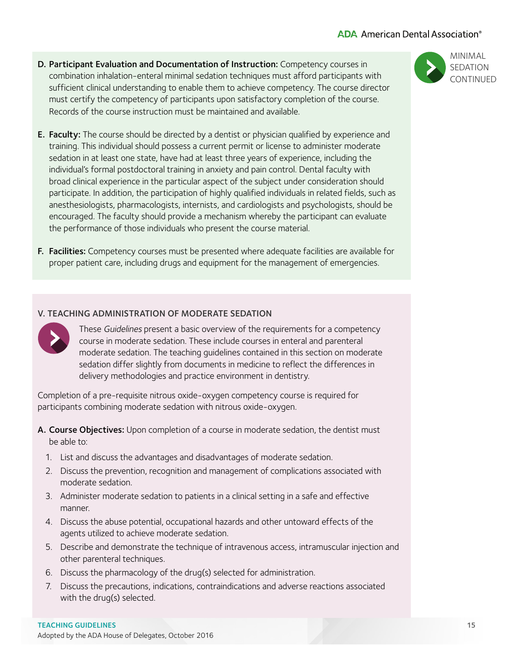D. Participant Evaluation and Documentation of Instruction: Competency courses in combination inhalation-enteral minimal sedation techniques must afford participants with sufficient clinical understanding to enable them to achieve competency. The course director must certify the competency of participants upon satisfactory completion of the course. Records of the course instruction must be maintained and available.



- **E. Faculty:** The course should be directed by a dentist or physician qualified by experience and training. This individual should possess a current permit or license to administer moderate sedation in at least one state, have had at least three years of experience, including the individual's formal postdoctoral training in anxiety and pain control. Dental faculty with broad clinical experience in the particular aspect of the subject under consideration should participate. In addition, the participation of highly qualified individuals in related fields, such as anesthesiologists, pharmacologists, internists, and cardiologists and psychologists, should be encouraged. The faculty should provide a mechanism whereby the participant can evaluate the performance of those individuals who present the course material.
- F. Facilities: Competency courses must be presented where adequate facilities are available for proper patient care, including drugs and equipment for the management of emergencies.

#### V. TEACHING ADMINISTRATION OF MODERATE SEDATION



These Guidelines present a basic overview of the requirements for a competency course in moderate sedation. These include courses in enteral and parenteral moderate sedation. The teaching guidelines contained in this section on moderate sedation differ slightly from documents in medicine to reflect the differences in delivery methodologies and practice environment in dentistry.

Completion of a pre-requisite nitrous oxide-oxygen competency course is required for participants combining moderate sedation with nitrous oxide-oxygen.

- A. Course Objectives: Upon completion of a course in moderate sedation, the dentist must be able to:
	- 1. List and discuss the advantages and disadvantages of moderate sedation.
	- 2. Discuss the prevention, recognition and management of complications associated with moderate sedation.
	- 3. Administer moderate sedation to patients in a clinical setting in a safe and effective manner.
	- 4. Discuss the abuse potential, occupational hazards and other untoward effects of the agents utilized to achieve moderate sedation.
	- 5. Describe and demonstrate the technique of intravenous access, intramuscular injection and other parenteral techniques.
	- 6. Discuss the pharmacology of the drug(s) selected for administration.
	- 7. Discuss the precautions, indications, contraindications and adverse reactions associated with the drug(s) selected.

#### TEACHING GUIDELINES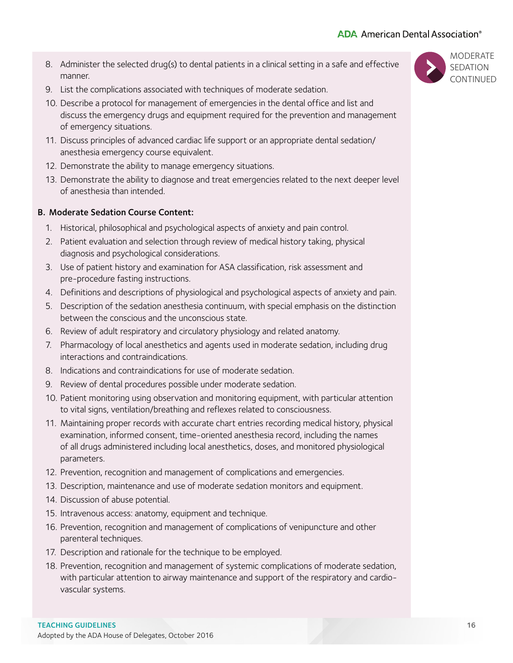- 8. Administer the selected drug(s) to dental patients in a clinical setting in a safe and effective manner.
- 9. List the complications associated with techniques of moderate sedation.
- 10. Describe a protocol for management of emergencies in the dental office and list and discuss the emergency drugs and equipment required for the prevention and management of emergency situations.
- 11. Discuss principles of advanced cardiac life support or an appropriate dental sedation/ anesthesia emergency course equivalent.
- 12. Demonstrate the ability to manage emergency situations.
- 13. Demonstrate the ability to diagnose and treat emergencies related to the next deeper level of anesthesia than intended.

#### B. Moderate Sedation Course Content:

- 1. Historical, philosophical and psychological aspects of anxiety and pain control.
- 2. Patient evaluation and selection through review of medical history taking, physical diagnosis and psychological considerations.
- 3. Use of patient history and examination for ASA classification, risk assessment and pre-procedure fasting instructions.
- 4. Definitions and descriptions of physiological and psychological aspects of anxiety and pain.
- 5. Description of the sedation anesthesia continuum, with special emphasis on the distinction between the conscious and the unconscious state.
- 6. Review of adult respiratory and circulatory physiology and related anatomy.
- 7. Pharmacology of local anesthetics and agents used in moderate sedation, including drug interactions and contraindications.
- 8. Indications and contraindications for use of moderate sedation.
- 9. Review of dental procedures possible under moderate sedation.
- 10. Patient monitoring using observation and monitoring equipment, with particular attention to vital signs, ventilation/breathing and reflexes related to consciousness.
- 11. Maintaining proper records with accurate chart entries recording medical history, physical examination, informed consent, time-oriented anesthesia record, including the names of all drugs administered including local anesthetics, doses, and monitored physiological parameters.
- 12. Prevention, recognition and management of complications and emergencies.
- 13. Description, maintenance and use of moderate sedation monitors and equipment.
- 14. Discussion of abuse potential.
- 15. Intravenous access: anatomy, equipment and technique.
- 16. Prevention, recognition and management of complications of venipuncture and other parenteral techniques.
- 17. Description and rationale for the technique to be employed.
- 18. Prevention, recognition and management of systemic complications of moderate sedation, with particular attention to airway maintenance and support of the respiratory and cardiovascular systems.

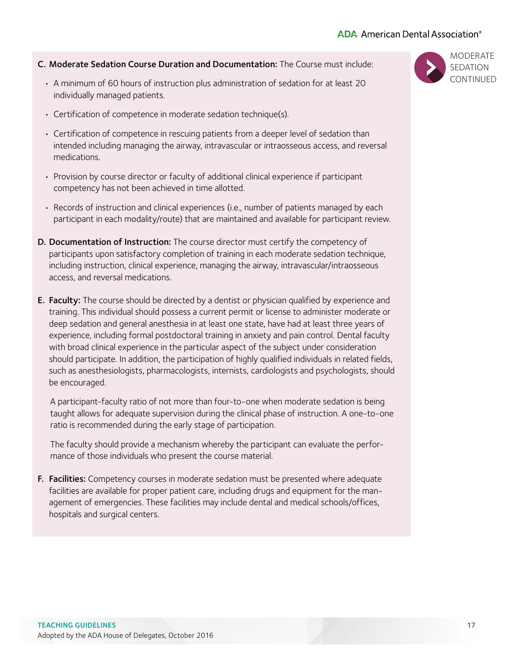- C. Moderate Sedation Course Duration and Documentation: The Course must include:
	- A minimum of 60 hours of instruction plus administration of sedation for at least 20 individually managed patients.
	- Certification of competence in moderate sedation technique(s).
	- Certification of competence in rescuing patients from a deeper level of sedation than intended including managing the airway, intravascular or intraosseous access, and reversal medications.
	- Provision by course director or faculty of additional clinical experience if participant competency has not been achieved in time allotted.
	- Records of instruction and clinical experiences (i.e., number of patients managed by each participant in each modality/route) that are maintained and available for participant review.
- **D. Documentation of Instruction:** The course director must certify the competency of participants upon satisfactory completion of training in each moderate sedation technique, including instruction, clinical experience, managing the airway, intravascular/intraosseous access, and reversal medications.
- **E. Faculty:** The course should be directed by a dentist or physician qualified by experience and training. This individual should possess a current permit or license to administer moderate or deep sedation and general anesthesia in at least one state, have had at least three years of experience, including formal postdoctoral training in anxiety and pain control. Dental faculty with broad clinical experience in the particular aspect of the subject under consideration should participate. In addition, the participation of highly qualified individuals in related fields, such as anesthesiologists, pharmacologists, internists, cardiologists and psychologists, should be encouraged.

 A participant-faculty ratio of not more than four-to-one when moderate sedation is being taught allows for adequate supervision during the clinical phase of instruction. A one-to-one ratio is recommended during the early stage of participation.

 The faculty should provide a mechanism whereby the participant can evaluate the performance of those individuals who present the course material.

F. Facilities: Competency courses in moderate sedation must be presented where adequate facilities are available for proper patient care, including drugs and equipment for the management of emergencies. These facilities may include dental and medical schools/offices, hospitals and surgical centers.